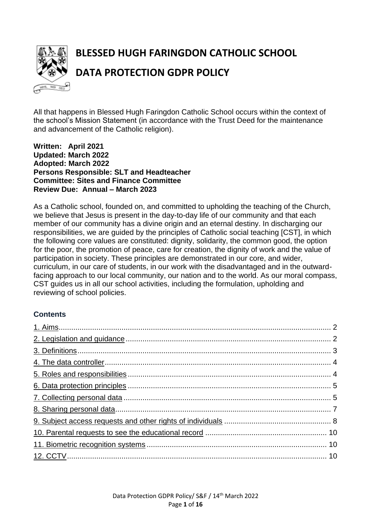

# **BLESSED HUGH FARINGDON CATHOLIC SCHOOL DATA PROTECTION GDPR POLICY**

All that happens in Blessed Hugh Faringdon Catholic School occurs within the context of the school's Mission Statement (in accordance with the Trust Deed for the maintenance and advancement of the Catholic religion).

**Written: April 2021 Updated: March 2022 Adopted: March 2022 Persons Responsible: SLT and Headteacher Committee: Sites and Finance Committee Review Due: Annual – March 2023**

As a Catholic school, founded on, and committed to upholding the teaching of the Church, we believe that Jesus is present in the day-to-day life of our community and that each member of our community has a divine origin and an eternal destiny. In discharging our responsibilities, we are guided by the principles of Catholic social teaching [CST], in which the following core values are constituted: dignity, solidarity, the common good, the option for the poor, the promotion of peace, care for creation, the dignity of work and the value of participation in society. These principles are demonstrated in our core, and wider, curriculum, in our care of students, in our work with the disadvantaged and in the outwardfacing approach to our local community, our nation and to the world. As our moral compass, CST guides us in all our school activities, including the formulation, upholding and reviewing of school policies.

# **Contents**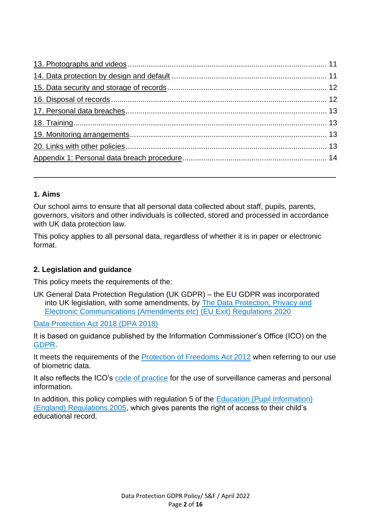# <span id="page-1-0"></span>**1. Aims**

Our school aims to ensure that all personal data collected about staff, pupils, parents, governors, visitors and other individuals is collected, stored and processed in accordance with UK data protection law.

This policy applies to all personal data, regardless of whether it is in paper or electronic format.

# <span id="page-1-1"></span>**2. Legislation and guidance**

This policy meets the requirements of the:

UK General Data Protection Regulation (UK GDPR) – the EU GDPR was incorporated into UK legislation, with some amendments, by [The Data Protection, Privacy and](https://www.legislation.gov.uk/uksi/2020/1586/made)  [Electronic Communications \(Amendments etc\) \(EU Exit\) Regulations 2020](https://www.legislation.gov.uk/uksi/2020/1586/made)

[Data Protection Act 2018 \(DPA 2018\)](http://www.legislation.gov.uk/ukpga/2018/12/contents/enacted)

It is based on guidance published by the Information Commissioner's Office (ICO) on the [GDPR.](https://ico.org.uk/for-organisations/guide-to-the-general-data-protection-regulation-gdpr/)

It meets the requirements of the [Protection of Freedoms Act 2012](https://www.legislation.gov.uk/ukpga/2012/9/part/1/chapter/2) when referring to our use of biometric data.

It also reflects the ICO's [code of practice](https://ico.org.uk/media/for-organisations/documents/1542/cctv-code-of-practice.pdf) for the use of surveillance cameras and personal information.

In addition, this policy complies with regulation 5 of the Education (Pupil Information) [\(England\) Regulations 2005,](http://www.legislation.gov.uk/uksi/2005/1437/regulation/5/made) which gives parents the right of access to their child's educational record.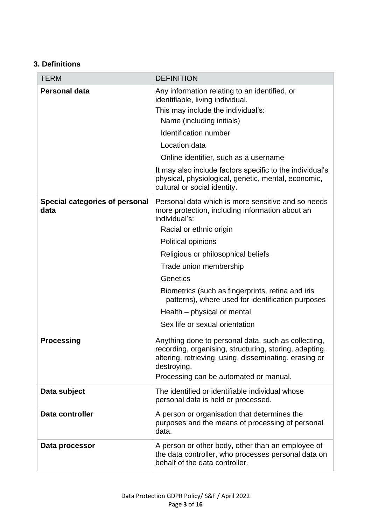# <span id="page-2-0"></span>**3. Definitions**

| <b>TERM</b>                                   | <b>DEFINITION</b>                                                                                                                                                                                                                                                                                                                                                                                                              |
|-----------------------------------------------|--------------------------------------------------------------------------------------------------------------------------------------------------------------------------------------------------------------------------------------------------------------------------------------------------------------------------------------------------------------------------------------------------------------------------------|
| <b>Personal data</b>                          | Any information relating to an identified, or<br>identifiable, living individual.<br>This may include the individual's:<br>Name (including initials)<br>Identification number<br>Location data<br>Online identifier, such as a username<br>It may also include factors specific to the individual's<br>physical, physiological, genetic, mental, economic,<br>cultural or social identity.                                     |
| <b>Special categories of personal</b><br>data | Personal data which is more sensitive and so needs<br>more protection, including information about an<br>individual's:<br>Racial or ethnic origin<br>Political opinions<br>Religious or philosophical beliefs<br>Trade union membership<br>Genetics<br>Biometrics (such as fingerprints, retina and iris<br>patterns), where used for identification purposes<br>Health – physical or mental<br>Sex life or sexual orientation |
| <b>Processing</b>                             | Anything done to personal data, such as collecting,<br>recording, organising, structuring, storing, adapting,<br>altering, retrieving, using, disseminating, erasing or<br>destroying.<br>Processing can be automated or manual.                                                                                                                                                                                               |
| Data subject                                  | The identified or identifiable individual whose<br>personal data is held or processed.                                                                                                                                                                                                                                                                                                                                         |
| Data controller                               | A person or organisation that determines the<br>purposes and the means of processing of personal<br>data.                                                                                                                                                                                                                                                                                                                      |
| Data processor                                | A person or other body, other than an employee of<br>the data controller, who processes personal data on<br>behalf of the data controller.                                                                                                                                                                                                                                                                                     |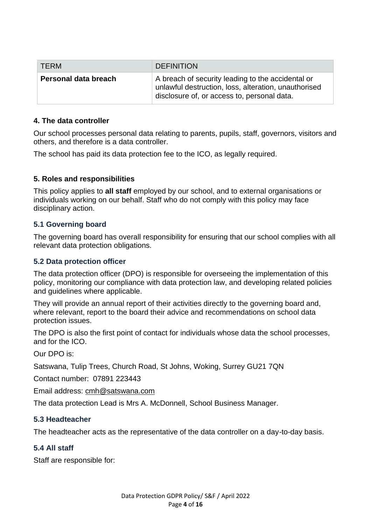| <b>TFRM</b>          | <b>DEFINITION</b>                                                                                                                                        |
|----------------------|----------------------------------------------------------------------------------------------------------------------------------------------------------|
| Personal data breach | A breach of security leading to the accidental or<br>unlawful destruction, loss, alteration, unauthorised<br>disclosure of, or access to, personal data. |

#### <span id="page-3-0"></span>**4. The data controller**

Our school processes personal data relating to parents, pupils, staff, governors, visitors and others, and therefore is a data controller.

The school has paid its data protection fee to the ICO, as legally required.

## <span id="page-3-1"></span>**5. Roles and responsibilities**

This policy applies to **all staff** employed by our school, and to external organisations or individuals working on our behalf. Staff who do not comply with this policy may face disciplinary action.

## **5.1 Governing board**

The governing board has overall responsibility for ensuring that our school complies with all relevant data protection obligations.

#### **5.2 Data protection officer**

The data protection officer (DPO) is responsible for overseeing the implementation of this policy, monitoring our compliance with data protection law, and developing related policies and guidelines where applicable.

They will provide an annual report of their activities directly to the governing board and, where relevant, report to the board their advice and recommendations on school data protection issues.

The DPO is also the first point of contact for individuals whose data the school processes, and for the ICO.

Our DPO is:

Satswana, Tulip Trees, Church Road, St Johns, Woking, Surrey GU21 7QN

Contact number: 07891 223443

Email address: [cmh@satswana.com](mailto:cmh@satswana.com)

The data protection Lead is Mrs A. McDonnell, School Business Manager.

## **5.3 Headteacher**

The headteacher acts as the representative of the data controller on a day-to-day basis.

#### **5.4 All staff**

Staff are responsible for: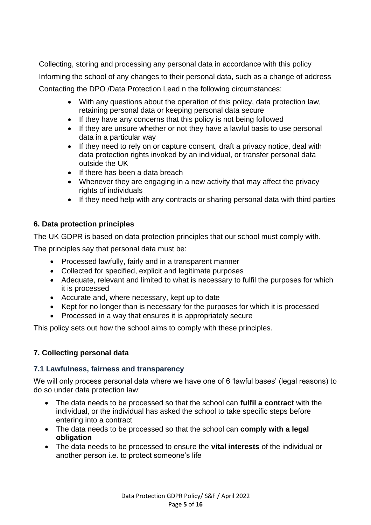Collecting, storing and processing any personal data in accordance with this policy Informing the school of any changes to their personal data, such as a change of address Contacting the DPO /Data Protection Lead n the following circumstances:

- With any questions about the operation of this policy, data protection law, retaining personal data or keeping personal data secure
- If they have any concerns that this policy is not being followed
- If they are unsure whether or not they have a lawful basis to use personal data in a particular way
- If they need to rely on or capture consent, draft a privacy notice, deal with data protection rights invoked by an individual, or transfer personal data outside the UK
- If there has been a data breach
- Whenever they are engaging in a new activity that may affect the privacy rights of individuals
- If they need help with any contracts or sharing personal data with third parties

# <span id="page-4-0"></span>**6. Data protection principles**

The UK GDPR is based on data protection principles that our school must comply with.

The principles say that personal data must be:

- Processed lawfully, fairly and in a transparent manner
- Collected for specified, explicit and legitimate purposes
- Adequate, relevant and limited to what is necessary to fulfil the purposes for which it is processed
- Accurate and, where necessary, kept up to date
- Kept for no longer than is necessary for the purposes for which it is processed
- Processed in a way that ensures it is appropriately secure

This policy sets out how the school aims to comply with these principles.

# <span id="page-4-1"></span>**7. Collecting personal data**

## **7.1 Lawfulness, fairness and transparency**

We will only process personal data where we have one of 6 'lawful bases' (legal reasons) to do so under data protection law:

- The data needs to be processed so that the school can **fulfil a contract** with the individual, or the individual has asked the school to take specific steps before entering into a contract
- The data needs to be processed so that the school can **comply with a legal obligation**
- The data needs to be processed to ensure the **vital interests** of the individual or another person i.e. to protect someone's life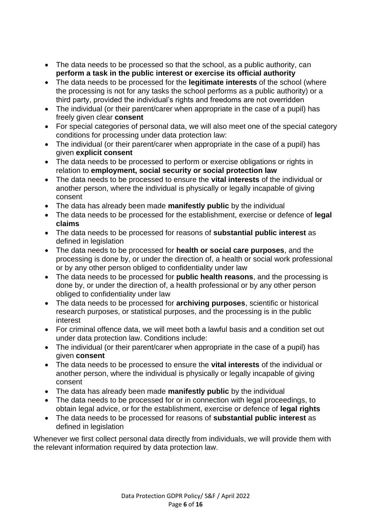- The data needs to be processed so that the school, as a public authority, can **perform a task in the public interest or exercise its official authority**
- The data needs to be processed for the **legitimate interests** of the school (where the processing is not for any tasks the school performs as a public authority) or a third party, provided the individual's rights and freedoms are not overridden
- The individual (or their parent/carer when appropriate in the case of a pupil) has freely given clear **consent**
- For special categories of personal data, we will also meet one of the special category conditions for processing under data protection law:
- The individual (or their parent/carer when appropriate in the case of a pupil) has given **explicit consent**
- The data needs to be processed to perform or exercise obligations or rights in relation to **employment, social security or social protection law**
- The data needs to be processed to ensure the **vital interests** of the individual or another person, where the individual is physically or legally incapable of giving consent
- The data has already been made **manifestly public** by the individual
- The data needs to be processed for the establishment, exercise or defence of **legal claims**
- The data needs to be processed for reasons of **substantial public interest** as defined in legislation
- The data needs to be processed for **health or social care purposes**, and the processing is done by, or under the direction of, a health or social work professional or by any other person obliged to confidentiality under law
- The data needs to be processed for **public health reasons**, and the processing is done by, or under the direction of, a health professional or by any other person obliged to confidentiality under law
- The data needs to be processed for **archiving purposes**, scientific or historical research purposes, or statistical purposes, and the processing is in the public interest
- For criminal offence data, we will meet both a lawful basis and a condition set out under data protection law. Conditions include:
- The individual (or their parent/carer when appropriate in the case of a pupil) has given **consent**
- The data needs to be processed to ensure the **vital interests** of the individual or another person, where the individual is physically or legally incapable of giving consent
- The data has already been made **manifestly public** by the individual
- The data needs to be processed for or in connection with legal proceedings, to obtain legal advice, or for the establishment, exercise or defence of **legal rights**
- The data needs to be processed for reasons of **substantial public interest** as defined in legislation

Whenever we first collect personal data directly from individuals, we will provide them with the relevant information required by data protection law.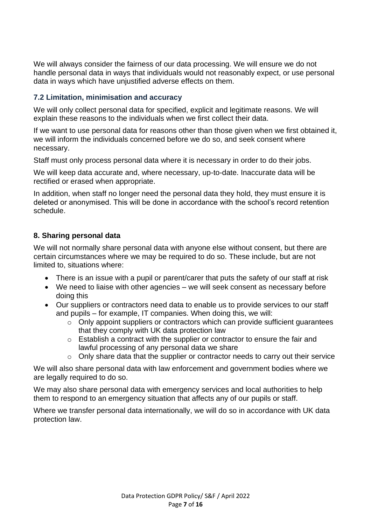We will always consider the fairness of our data processing. We will ensure we do not handle personal data in ways that individuals would not reasonably expect, or use personal data in ways which have unjustified adverse effects on them.

#### **7.2 Limitation, minimisation and accuracy**

We will only collect personal data for specified, explicit and legitimate reasons. We will explain these reasons to the individuals when we first collect their data.

If we want to use personal data for reasons other than those given when we first obtained it, we will inform the individuals concerned before we do so, and seek consent where necessary.

Staff must only process personal data where it is necessary in order to do their jobs.

We will keep data accurate and, where necessary, up-to-date. Inaccurate data will be rectified or erased when appropriate.

In addition, when staff no longer need the personal data they hold, they must ensure it is deleted or anonymised. This will be done in accordance with the school's record retention schedule.

#### <span id="page-6-0"></span>**8. Sharing personal data**

We will not normally share personal data with anyone else without consent, but there are certain circumstances where we may be required to do so. These include, but are not limited to, situations where:

- There is an issue with a pupil or parent/carer that puts the safety of our staff at risk
- We need to liaise with other agencies we will seek consent as necessary before doing this
- Our suppliers or contractors need data to enable us to provide services to our staff and pupils – for example, IT companies. When doing this, we will:
	- o Only appoint suppliers or contractors which can provide sufficient guarantees that they comply with UK data protection law
	- o Establish a contract with the supplier or contractor to ensure the fair and lawful processing of any personal data we share
	- o Only share data that the supplier or contractor needs to carry out their service

We will also share personal data with law enforcement and government bodies where we are legally required to do so.

We may also share personal data with emergency services and local authorities to help them to respond to an emergency situation that affects any of our pupils or staff.

Where we transfer personal data internationally, we will do so in accordance with UK data protection law.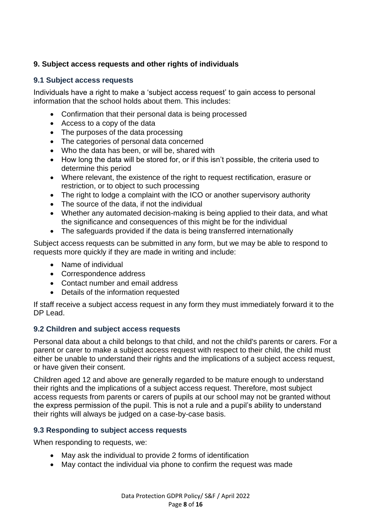## <span id="page-7-0"></span>**9. Subject access requests and other rights of individuals**

#### **9.1 Subject access requests**

Individuals have a right to make a 'subject access request' to gain access to personal information that the school holds about them. This includes:

- Confirmation that their personal data is being processed
- Access to a copy of the data
- The purposes of the data processing
- The categories of personal data concerned
- Who the data has been, or will be, shared with
- How long the data will be stored for, or if this isn't possible, the criteria used to determine this period
- Where relevant, the existence of the right to request rectification, erasure or restriction, or to object to such processing
- The right to lodge a complaint with the ICO or another supervisory authority
- The source of the data, if not the individual
- Whether any automated decision-making is being applied to their data, and what the significance and consequences of this might be for the individual
- The safeguards provided if the data is being transferred internationally

Subject access requests can be submitted in any form, but we may be able to respond to requests more quickly if they are made in writing and include:

- Name of individual
- Correspondence address
- Contact number and email address
- Details of the information requested

If staff receive a subject access request in any form they must immediately forward it to the DP Lead.

## **9.2 Children and subject access requests**

Personal data about a child belongs to that child, and not the child's parents or carers. For a parent or carer to make a subject access request with respect to their child, the child must either be unable to understand their rights and the implications of a subject access request, or have given their consent.

Children aged 12 and above are generally regarded to be mature enough to understand their rights and the implications of a subject access request. Therefore, most subject access requests from parents or carers of pupils at our school may not be granted without the express permission of the pupil. This is not a rule and a pupil's ability to understand their rights will always be judged on a case-by-case basis.

## **9.3 Responding to subject access requests**

When responding to requests, we:

- May ask the individual to provide 2 forms of identification
- May contact the individual via phone to confirm the request was made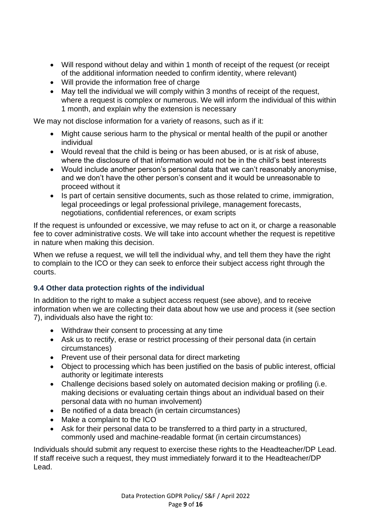- Will respond without delay and within 1 month of receipt of the request (or receipt of the additional information needed to confirm identity, where relevant)
- Will provide the information free of charge
- May tell the individual we will comply within 3 months of receipt of the request, where a request is complex or numerous. We will inform the individual of this within 1 month, and explain why the extension is necessary

We may not disclose information for a variety of reasons, such as if it:

- Might cause serious harm to the physical or mental health of the pupil or another individual
- Would reveal that the child is being or has been abused, or is at risk of abuse, where the disclosure of that information would not be in the child's best interests
- Would include another person's personal data that we can't reasonably anonymise, and we don't have the other person's consent and it would be unreasonable to proceed without it
- Is part of certain sensitive documents, such as those related to crime, immigration, legal proceedings or legal professional privilege, management forecasts, negotiations, confidential references, or exam scripts

If the request is unfounded or excessive, we may refuse to act on it, or charge a reasonable fee to cover administrative costs. We will take into account whether the request is repetitive in nature when making this decision.

When we refuse a request, we will tell the individual why, and tell them they have the right to complain to the ICO or they can seek to enforce their subject access right through the courts.

# **9.4 Other data protection rights of the individual**

In addition to the right to make a subject access request (see above), and to receive information when we are collecting their data about how we use and process it (see section 7), individuals also have the right to:

- Withdraw their consent to processing at any time
- Ask us to rectify, erase or restrict processing of their personal data (in certain circumstances)
- Prevent use of their personal data for direct marketing
- Object to processing which has been justified on the basis of public interest, official authority or legitimate interests
- Challenge decisions based solely on automated decision making or profiling (i.e. making decisions or evaluating certain things about an individual based on their personal data with no human involvement)
- Be notified of a data breach (in certain circumstances)
- Make a complaint to the ICO
- Ask for their personal data to be transferred to a third party in a structured, commonly used and machine-readable format (in certain circumstances)

Individuals should submit any request to exercise these rights to the Headteacher/DP Lead. If staff receive such a request, they must immediately forward it to the Headteacher/DP Lead.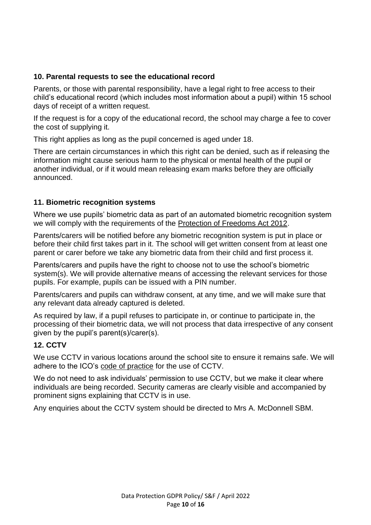#### <span id="page-9-0"></span>**10. Parental requests to see the educational record**

Parents, or those with parental responsibility, have a legal right to free access to their child's educational record (which includes most information about a pupil) within 15 school days of receipt of a written request.

If the request is for a copy of the educational record, the school may charge a fee to cover the cost of supplying it.

This right applies as long as the pupil concerned is aged under 18.

There are certain circumstances in which this right can be denied, such as if releasing the information might cause serious harm to the physical or mental health of the pupil or another individual, or if it would mean releasing exam marks before they are officially announced.

#### <span id="page-9-1"></span>**11. Biometric recognition systems**

Where we use pupils' biometric data as part of an automated biometric recognition system we will comply with the requirements of the [Protection of Freedoms Act 2012.](https://www.legislation.gov.uk/ukpga/2012/9/section/26)

Parents/carers will be notified before any biometric recognition system is put in place or before their child first takes part in it. The school will get written consent from at least one parent or carer before we take any biometric data from their child and first process it.

Parents/carers and pupils have the right to choose not to use the school's biometric system(s). We will provide alternative means of accessing the relevant services for those pupils. For example, pupils can be issued with a PIN number.

Parents/carers and pupils can withdraw consent, at any time, and we will make sure that any relevant data already captured is deleted.

As required by law, if a pupil refuses to participate in, or continue to participate in, the processing of their biometric data, we will not process that data irrespective of any consent given by the pupil's parent(s)/carer(s).

## <span id="page-9-2"></span>**12. CCTV**

We use CCTV in various locations around the school site to ensure it remains safe. We will adhere to the ICO's [code of practice](https://ico.org.uk/media/for-organisations/documents/1542/cctv-code-of-practice.pdf) for the use of CCTV.

We do not need to ask individuals' permission to use CCTV, but we make it clear where individuals are being recorded. Security cameras are clearly visible and accompanied by prominent signs explaining that CCTV is in use.

Any enquiries about the CCTV system should be directed to Mrs A. McDonnell SBM.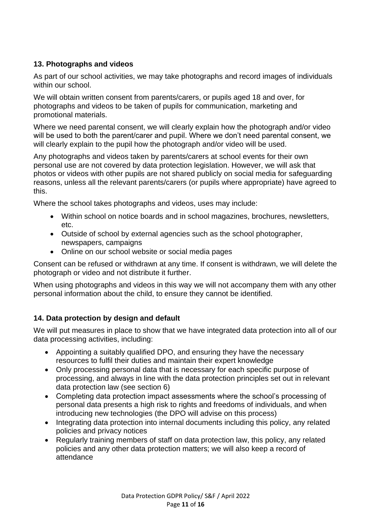# <span id="page-10-0"></span>**13. Photographs and videos**

As part of our school activities, we may take photographs and record images of individuals within our school.

We will obtain written consent from parents/carers, or pupils aged 18 and over, for photographs and videos to be taken of pupils for communication, marketing and promotional materials.

Where we need parental consent, we will clearly explain how the photograph and/or video will be used to both the parent/carer and pupil. Where we don't need parental consent, we will clearly explain to the pupil how the photograph and/or video will be used.

Any photographs and videos taken by parents/carers at school events for their own personal use are not covered by data protection legislation. However, we will ask that photos or videos with other pupils are not shared publicly on social media for safeguarding reasons, unless all the relevant parents/carers (or pupils where appropriate) have agreed to this.

Where the school takes photographs and videos, uses may include:

- Within school on notice boards and in school magazines, brochures, newsletters, etc.
- Outside of school by external agencies such as the school photographer, newspapers, campaigns
- Online on our school website or social media pages

Consent can be refused or withdrawn at any time. If consent is withdrawn, we will delete the photograph or video and not distribute it further.

When using photographs and videos in this way we will not accompany them with any other personal information about the child, to ensure they cannot be identified.

## <span id="page-10-1"></span>**14. Data protection by design and default**

We will put measures in place to show that we have integrated data protection into all of our data processing activities, including:

- Appointing a suitably qualified DPO, and ensuring they have the necessary resources to fulfil their duties and maintain their expert knowledge
- Only processing personal data that is necessary for each specific purpose of processing, and always in line with the data protection principles set out in relevant data protection law (see section 6)
- Completing data protection impact assessments where the school's processing of personal data presents a high risk to rights and freedoms of individuals, and when introducing new technologies (the DPO will advise on this process)
- Integrating data protection into internal documents including this policy, any related policies and privacy notices
- Regularly training members of staff on data protection law, this policy, any related policies and any other data protection matters; we will also keep a record of attendance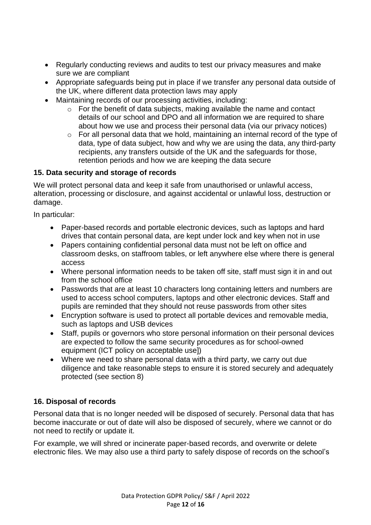- Regularly conducting reviews and audits to test our privacy measures and make sure we are compliant
- Appropriate safeguards being put in place if we transfer any personal data outside of the UK, where different data protection laws may apply
- Maintaining records of our processing activities, including:
	- o For the benefit of data subjects, making available the name and contact details of our school and DPO and all information we are required to share about how we use and process their personal data (via our privacy notices)
	- o For all personal data that we hold, maintaining an internal record of the type of data, type of data subject, how and why we are using the data, any third-party recipients, any transfers outside of the UK and the safeguards for those, retention periods and how we are keeping the data secure

## <span id="page-11-0"></span>**15. Data security and storage of records**

We will protect personal data and keep it safe from unauthorised or unlawful access, alteration, processing or disclosure, and against accidental or unlawful loss, destruction or damage.

In particular:

- Paper-based records and portable electronic devices, such as laptops and hard drives that contain personal data, are kept under lock and key when not in use
- Papers containing confidential personal data must not be left on office and classroom desks, on staffroom tables, or left anywhere else where there is general access
- Where personal information needs to be taken off site, staff must sign it in and out from the school office
- Passwords that are at least 10 characters long containing letters and numbers are used to access school computers, laptops and other electronic devices. Staff and pupils are reminded that they should not reuse passwords from other sites
- Encryption software is used to protect all portable devices and removable media, such as laptops and USB devices
- Staff, pupils or governors who store personal information on their personal devices are expected to follow the same security procedures as for school-owned equipment (ICT policy on acceptable use])
- Where we need to share personal data with a third party, we carry out due diligence and take reasonable steps to ensure it is stored securely and adequately protected (see section 8)

# <span id="page-11-1"></span>**16. Disposal of records**

Personal data that is no longer needed will be disposed of securely. Personal data that has become inaccurate or out of date will also be disposed of securely, where we cannot or do not need to rectify or update it.

For example, we will shred or incinerate paper-based records, and overwrite or delete electronic files. We may also use a third party to safely dispose of records on the school's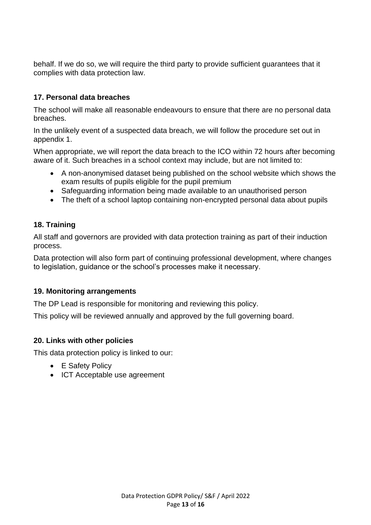behalf. If we do so, we will require the third party to provide sufficient guarantees that it complies with data protection law.

## <span id="page-12-0"></span>**17. Personal data breaches**

The school will make all reasonable endeavours to ensure that there are no personal data breaches.

In the unlikely event of a suspected data breach, we will follow the procedure set out in appendix 1.

When appropriate, we will report the data breach to the ICO within 72 hours after becoming aware of it. Such breaches in a school context may include, but are not limited to:

- A non-anonymised dataset being published on the school website which shows the exam results of pupils eligible for the pupil premium
- Safeguarding information being made available to an unauthorised person
- The theft of a school laptop containing non-encrypted personal data about pupils

## <span id="page-12-1"></span>**18. Training**

All staff and governors are provided with data protection training as part of their induction process.

Data protection will also form part of continuing professional development, where changes to legislation, guidance or the school's processes make it necessary.

## <span id="page-12-2"></span>**19. Monitoring arrangements**

The DP Lead is responsible for monitoring and reviewing this policy.

This policy will be reviewed annually and approved by the full governing board.

#### <span id="page-12-3"></span>**20. Links with other policies**

This data protection policy is linked to our:

- E Safety Policy
- ICT Acceptable use agreement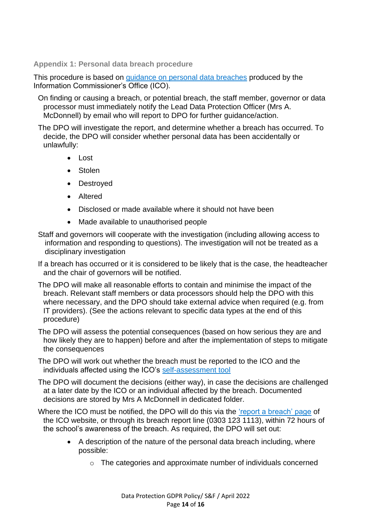<span id="page-13-0"></span>**Appendix 1: Personal data breach procedure**

This procedure is based on [guidance on personal data breaches](https://ico.org.uk/for-organisations/guide-to-the-general-data-protection-regulation-gdpr/personal-data-breaches/) produced by the Information Commissioner's Office (ICO).

On finding or causing a breach, or potential breach, the staff member, governor or data processor must immediately notify the Lead Data Protection Officer (Mrs A. McDonnell) by email who will report to DPO for further guidance/action.

The DPO will investigate the report, and determine whether a breach has occurred. To decide, the DPO will consider whether personal data has been accidentally or unlawfully:

- Lost
- Stolen
- Destroyed
- Altered
- Disclosed or made available where it should not have been
- Made available to unauthorised people
- Staff and governors will cooperate with the investigation (including allowing access to information and responding to questions). The investigation will not be treated as a disciplinary investigation
- If a breach has occurred or it is considered to be likely that is the case, the headteacher and the chair of governors will be notified.
- The DPO will make all reasonable efforts to contain and minimise the impact of the breach. Relevant staff members or data processors should help the DPO with this where necessary, and the DPO should take external advice when required (e.g. from IT providers). (See the actions relevant to specific data types at the end of this procedure)

The DPO will assess the potential consequences (based on how serious they are and how likely they are to happen) before and after the implementation of steps to mitigate the consequences

The DPO will work out whether the breach must be reported to the ICO and the individuals affected using the ICO's [self-assessment tool](https://ico.org.uk/for-organisations/report-a-breach/personal-data-breach-assessment/)

The DPO will document the decisions (either way), in case the decisions are challenged at a later date by the ICO or an individual affected by the breach. Documented decisions are stored by Mrs A McDonnell in dedicated folder.

Where the ICO must be notified, the DPO will do this via the ['report a breach' page](https://ico.org.uk/for-organisations/report-a-breach/) of the ICO website, or through its breach report line (0303 123 1113), within 72 hours of the school's awareness of the breach. As required, the DPO will set out:

- A description of the nature of the personal data breach including, where possible:
	- o The categories and approximate number of individuals concerned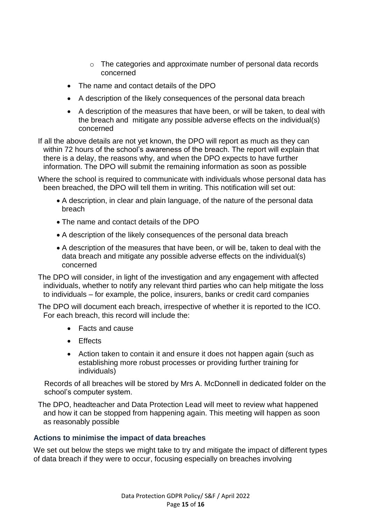- o The categories and approximate number of personal data records concerned
- The name and contact details of the DPO
- A description of the likely consequences of the personal data breach
- A description of the measures that have been, or will be taken, to deal with the breach and mitigate any possible adverse effects on the individual(s) concerned

If all the above details are not yet known, the DPO will report as much as they can within 72 hours of the school's awareness of the breach. The report will explain that there is a delay, the reasons why, and when the DPO expects to have further information. The DPO will submit the remaining information as soon as possible

Where the school is required to communicate with individuals whose personal data has been breached, the DPO will tell them in writing. This notification will set out:

- A description, in clear and plain language, of the nature of the personal data breach
- The name and contact details of the DPO
- A description of the likely consequences of the personal data breach
- A description of the measures that have been, or will be, taken to deal with the data breach and mitigate any possible adverse effects on the individual(s) concerned

The DPO will consider, in light of the investigation and any engagement with affected individuals, whether to notify any relevant third parties who can help mitigate the loss to individuals – for example, the police, insurers, banks or credit card companies

The DPO will document each breach, irrespective of whether it is reported to the ICO. For each breach, this record will include the:

- Facts and cause
- Effects
- Action taken to contain it and ensure it does not happen again (such as establishing more robust processes or providing further training for individuals)

Records of all breaches will be stored by Mrs A. McDonnell in dedicated folder on the school's computer system.

The DPO, headteacher and Data Protection Lead will meet to review what happened and how it can be stopped from happening again. This meeting will happen as soon as reasonably possible

#### **Actions to minimise the impact of data breaches**

We set out below the steps we might take to try and mitigate the impact of different types of data breach if they were to occur, focusing especially on breaches involving